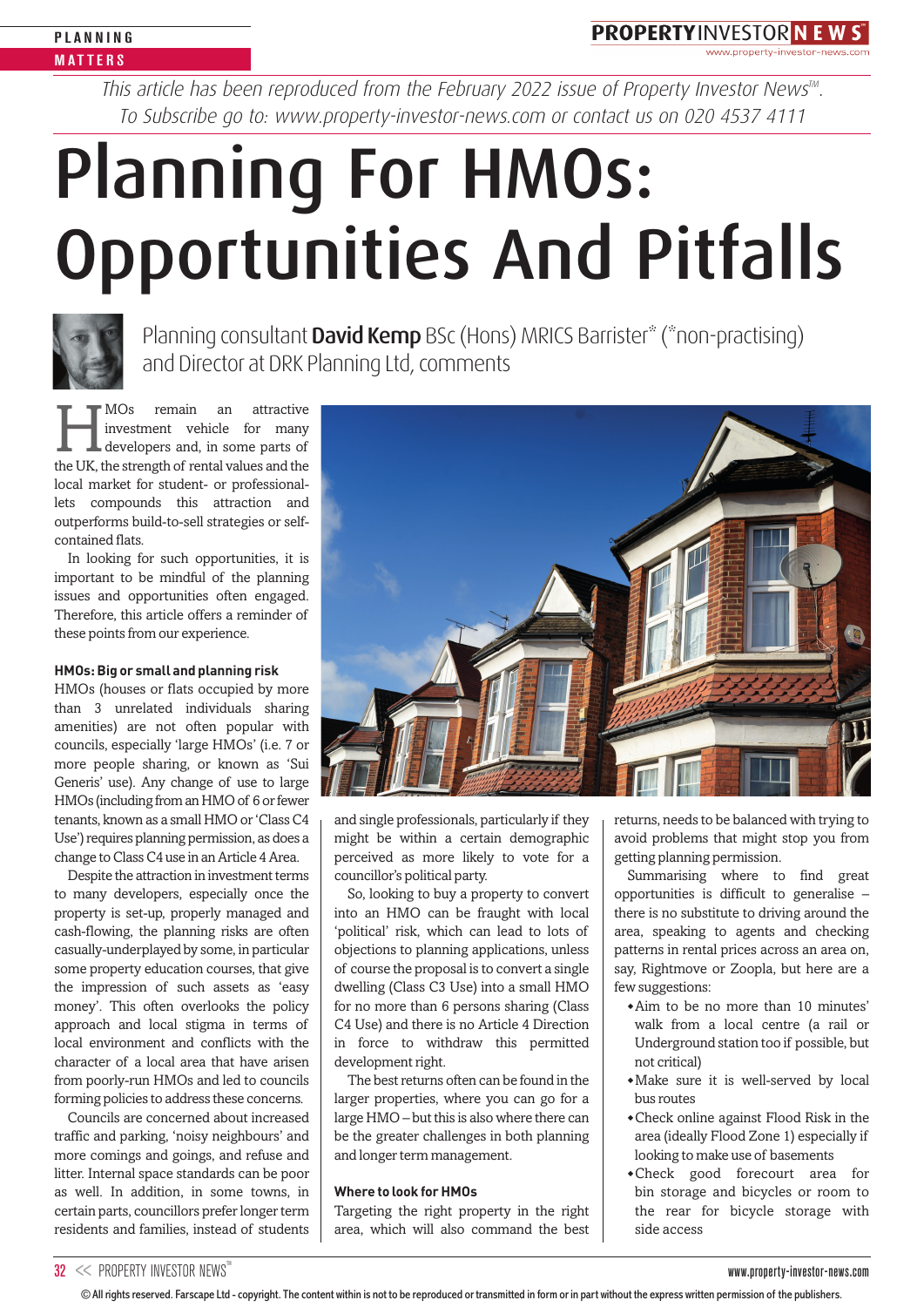**PROPERTYINVESTOR N E W ST** 

This article has been reproduced from the February 2022 issue of Property Investor News $^{\text{m}}$ . To Subscribe go to: www.property-investor-news.com or contact us on 020 4537 4111

# Planning For HMOs: Opportunities And Pitfalls



Planning consultant David Kemp BSc (Hons) MRICS Barrister\* (\*non-practising) and Director at DRK Planning Ltd, comments

MOs remain an attractive<br>developers and, in some parts of<br>the LIK the strength of rental values and the investment vehicle for many developers and, in some parts of the UK, the strength of rental values and the local market for student- or professionallets compounds this attraction and outperforms build-to-sell strategies or selfcontained flats.

In looking for such opportunities, it is important to be mindful of the planning issues and opportunities often engaged. Therefore, this article offers a reminder of these points from our experience.

#### **HMOs: Big or small and planning risk**

HMOs (houses or flats occupied by more than 3 unrelated individuals sharing amenities) are not often popular with councils, especially 'large HMOs' (i.e. 7 or more people sharing, or known as 'Sui Generis' use). Any change of use to large HMOs (including from an HMO of 6 or fewer tenants, known as a small HMO or 'Class C4 Use') requires planning permission, as does a change to Class C4 use in an Article 4 Area.

Despite the attraction in investment terms to many developers, especially once the property is set-up, properly managed and cash-flowing, the planning risks are often casually-underplayed by some, in particular some property education courses, that give the impression of such assets as 'easy money'. This often overlooks the policy approach and local stigma in terms of local environment and conflicts with the character of a local area that have arisen from poorly-run HMOs and led to councils forming policies to address these concerns.

Councils are concerned about increased traffic and parking, 'noisy neighbours' and more comings and goings, and refuse and litter. Internal space standards can be poor as well. In addition, in some towns, in certain parts, councillors prefer longer term residents and families, instead of students



and single professionals, particularly if they might be within a certain demographic perceived as more likely to vote for a councillor's political party.

So, looking to buy a property to convert into an HMO can be fraught with local 'political' risk, which can lead to lots of objections to planning applications, unless of course the proposal is to convert a single dwelling (Class C3 Use) into a small HMO for no more than 6 persons sharing (Class C4 Use) and there is no Article 4 Direction in force to withdraw this permitted development right.

The best returns often can be found in the larger properties, where you can go for a large HMO – but this is also where there can be the greater challenges in both planning and longer term management.

## **Where to look for HMOs**

Targeting the right property in the right area, which will also command the best returns, needs to be balanced with trying to avoid problems that might stop you from getting planning permission.

Summarising where to find great opportunities is difficult to generalise – there is no substitute to driving around the area, speaking to agents and checking patterns in rental prices across an area on, say, Rightmove or Zoopla, but here are a few suggestions:

- ◆ Aim to be no more than 10 minutes' walk from a local centre (a rail or Underground station too if possible, but not critical)
- ◆ Make sure it is well-served by local bus routes
- ◆ Check online against Flood Risk in the area (ideally Flood Zone 1) especially if looking to make use of basements
- ◆ Check good forecourt area for bin storage and bicycles or room to the rear for bicycle storage with side access

<sup>©</sup> All rights reserved. Farscape Ltd - copyright. The content within is not to be reproduced or transmitted in form or in part without the express written permission of the publishers.